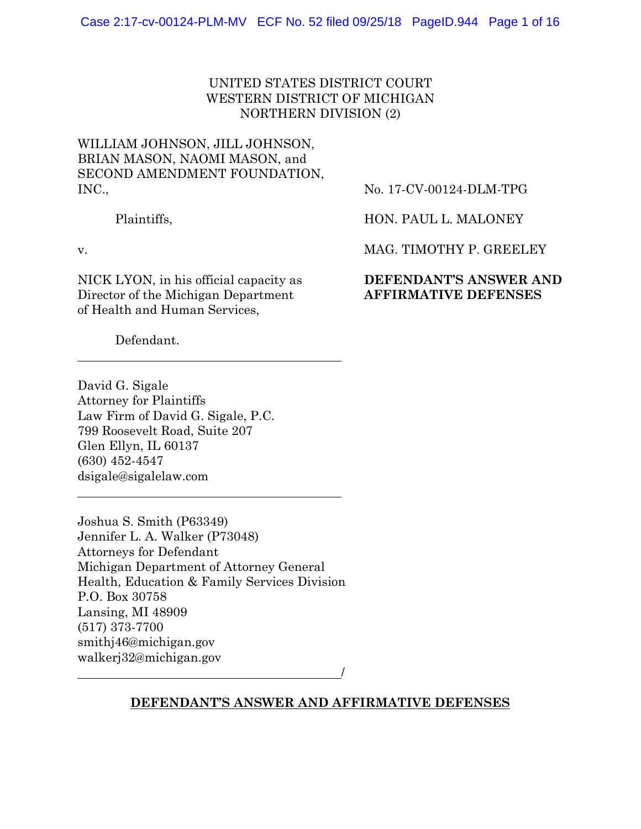# UNITED STATES DISTRICT COURT WESTERN DISTRICT OF MICHIGAN NORTHERN DIVISION (2)

# WILLIAM JOHNSON, JILL JOHNSON, BRIAN MASON, NAOMI MASON, and SECOND AMENDMENT FOUNDATION, INC.,

Plaintiffs,

v.

NICK LYON, in his official capacity as Director of the Michigan Department of Health and Human Services,

No. 17-CV-00124-DLM-TPG

HON. PAUL L. MALONEY

MAG. TIMOTHY P. GREELEY

# **DEFENDANT'S ANSWER AND AFFIRMATIVE DEFENSES**

Defendant.

David G. Sigale Attorney for Plaintiffs Law Firm of David G. Sigale, P.C. 799 Roosevelt Road, Suite 207 Glen Ellyn, IL 60137 (630) 452-4547 dsigale@sigalelaw.com

Joshua S. Smith (P63349) Jennifer L. A. Walker (P73048) Attorneys for Defendant Michigan Department of Attorney General Health, Education & Family Services Division P.O. Box 30758 Lansing, MI 48909 (517) 373-7700 smithj46@michigan.gov walkerj32@michigan.gov

/

## **DEFENDANT'S ANSWER AND AFFIRMATIVE DEFENSES**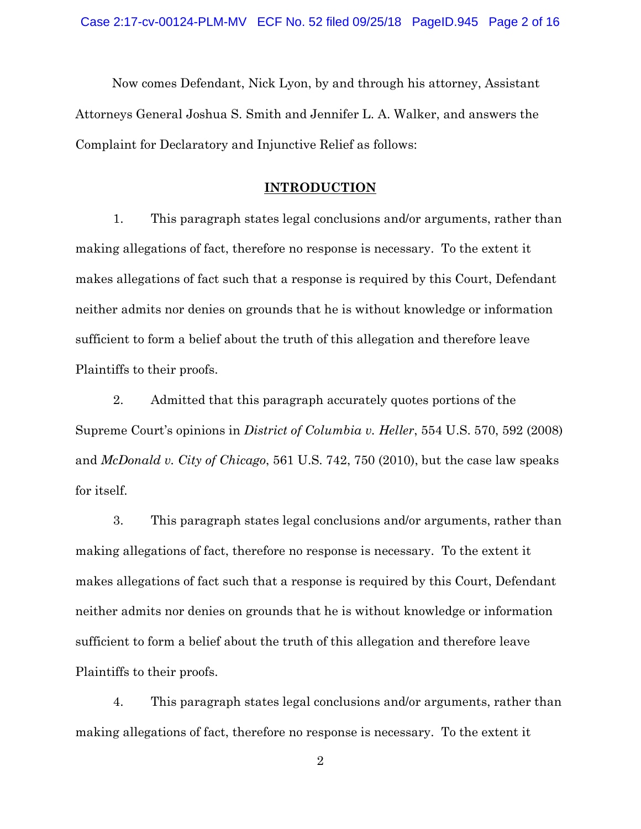Now comes Defendant, Nick Lyon, by and through his attorney, Assistant Attorneys General Joshua S. Smith and Jennifer L. A. Walker, and answers the Complaint for Declaratory and Injunctive Relief as follows:

### **INTRODUCTION**

1. This paragraph states legal conclusions and/or arguments, rather than making allegations of fact, therefore no response is necessary. To the extent it makes allegations of fact such that a response is required by this Court, Defendant neither admits nor denies on grounds that he is without knowledge or information sufficient to form a belief about the truth of this allegation and therefore leave Plaintiffs to their proofs.

2. Admitted that this paragraph accurately quotes portions of the Supreme Court's opinions in *District of Columbia v. Heller*, 554 U.S. 570, 592 (2008) and *McDonald v. City of Chicago*, 561 U.S. 742, 750 (2010), but the case law speaks for itself.

3. This paragraph states legal conclusions and/or arguments, rather than making allegations of fact, therefore no response is necessary. To the extent it makes allegations of fact such that a response is required by this Court, Defendant neither admits nor denies on grounds that he is without knowledge or information sufficient to form a belief about the truth of this allegation and therefore leave Plaintiffs to their proofs.

4. This paragraph states legal conclusions and/or arguments, rather than making allegations of fact, therefore no response is necessary. To the extent it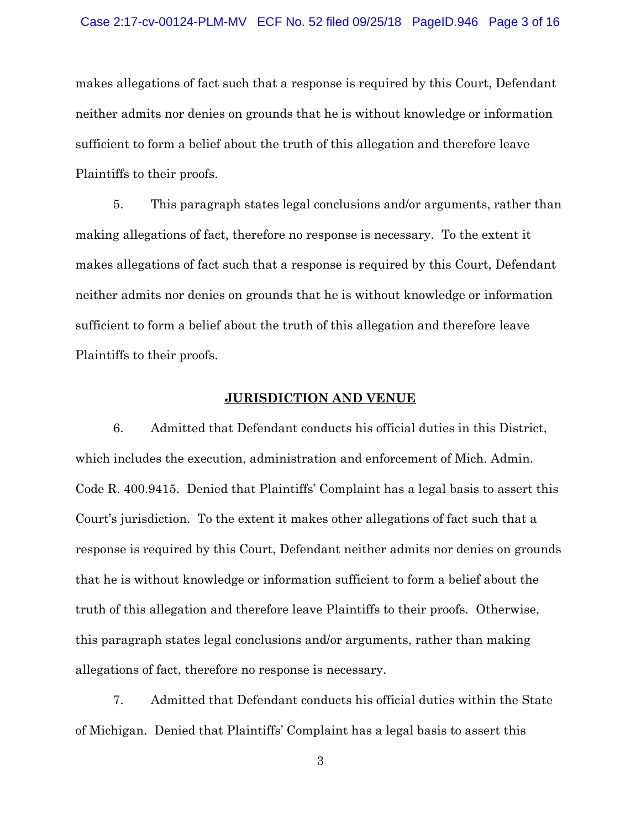#### Case 2:17-cv-00124-PLM-MV ECF No. 52 filed 09/25/18 PageID.946 Page 3 of 16

makes allegations of fact such that a response is required by this Court, Defendant neither admits nor denies on grounds that he is without knowledge or information sufficient to form a belief about the truth of this allegation and therefore leave Plaintiffs to their proofs.

5. This paragraph states legal conclusions and/or arguments, rather than making allegations of fact, therefore no response is necessary. To the extent it makes allegations of fact such that a response is required by this Court, Defendant neither admits nor denies on grounds that he is without knowledge or information sufficient to form a belief about the truth of this allegation and therefore leave Plaintiffs to their proofs.

#### **JURISDICTION AND VENUE**

6. Admitted that Defendant conducts his official duties in this District, which includes the execution, administration and enforcement of Mich. Admin. Code R. 400.9415. Denied that Plaintiffs' Complaint has a legal basis to assert this Court's jurisdiction. To the extent it makes other allegations of fact such that a response is required by this Court, Defendant neither admits nor denies on grounds that he is without knowledge or information sufficient to form a belief about the truth of this allegation and therefore leave Plaintiffs to their proofs. Otherwise, this paragraph states legal conclusions and/or arguments, rather than making allegations of fact, therefore no response is necessary.

7. Admitted that Defendant conducts his official duties within the State of Michigan. Denied that Plaintiffs' Complaint has a legal basis to assert this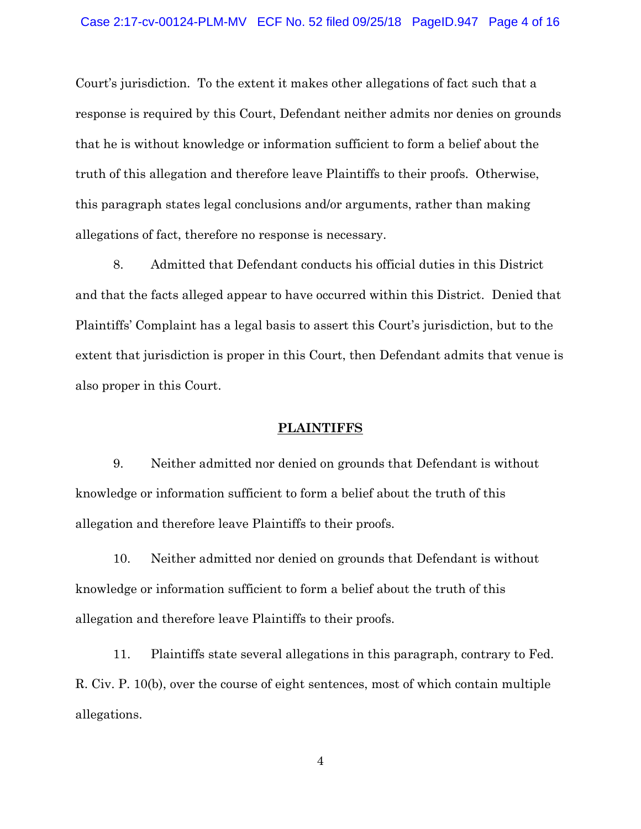#### Case 2:17-cv-00124-PLM-MV ECF No. 52 filed 09/25/18 PageID.947 Page 4 of 16

Court's jurisdiction. To the extent it makes other allegations of fact such that a response is required by this Court, Defendant neither admits nor denies on grounds that he is without knowledge or information sufficient to form a belief about the truth of this allegation and therefore leave Plaintiffs to their proofs. Otherwise, this paragraph states legal conclusions and/or arguments, rather than making allegations of fact, therefore no response is necessary.

8. Admitted that Defendant conducts his official duties in this District and that the facts alleged appear to have occurred within this District. Denied that Plaintiffs' Complaint has a legal basis to assert this Court's jurisdiction, but to the extent that jurisdiction is proper in this Court, then Defendant admits that venue is also proper in this Court.

#### **PLAINTIFFS**

9. Neither admitted nor denied on grounds that Defendant is without knowledge or information sufficient to form a belief about the truth of this allegation and therefore leave Plaintiffs to their proofs.

10. Neither admitted nor denied on grounds that Defendant is without knowledge or information sufficient to form a belief about the truth of this allegation and therefore leave Plaintiffs to their proofs.

11. Plaintiffs state several allegations in this paragraph, contrary to Fed. R. Civ. P. 10(b), over the course of eight sentences, most of which contain multiple allegations.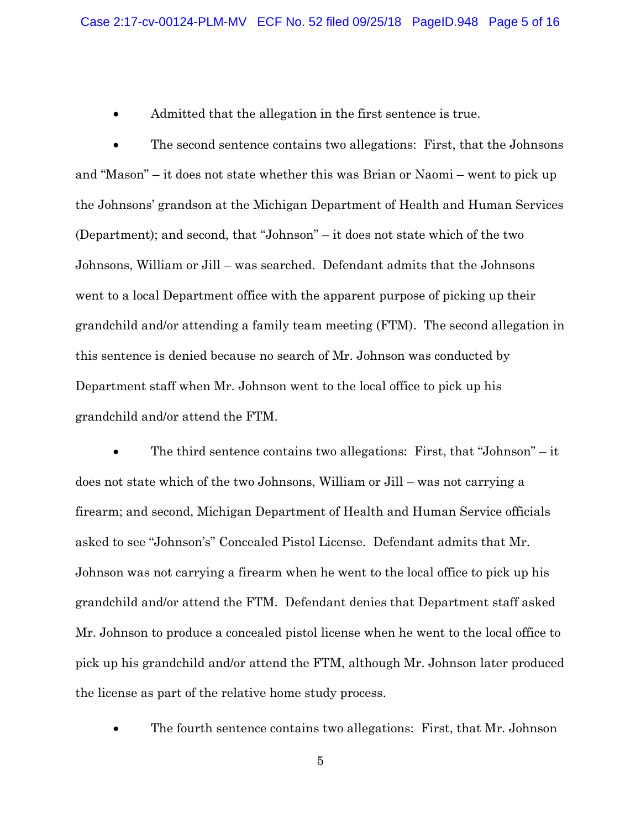Admitted that the allegation in the first sentence is true.

• The second sentence contains two allegations: First, that the Johnsons and "Mason" – it does not state whether this was Brian or Naomi – went to pick up the Johnsons' grandson at the Michigan Department of Health and Human Services (Department); and second, that "Johnson" – it does not state which of the two Johnsons, William or Jill – was searched. Defendant admits that the Johnsons went to a local Department office with the apparent purpose of picking up their grandchild and/or attending a family team meeting (FTM). The second allegation in this sentence is denied because no search of Mr. Johnson was conducted by Department staff when Mr. Johnson went to the local office to pick up his grandchild and/or attend the FTM.

• The third sentence contains two allegations: First, that "Johnson" – it does not state which of the two Johnsons, William or Jill – was not carrying a firearm; and second, Michigan Department of Health and Human Service officials asked to see "Johnson's" Concealed Pistol License. Defendant admits that Mr. Johnson was not carrying a firearm when he went to the local office to pick up his grandchild and/or attend the FTM. Defendant denies that Department staff asked Mr. Johnson to produce a concealed pistol license when he went to the local office to pick up his grandchild and/or attend the FTM, although Mr. Johnson later produced the license as part of the relative home study process.

• The fourth sentence contains two allegations: First, that Mr. Johnson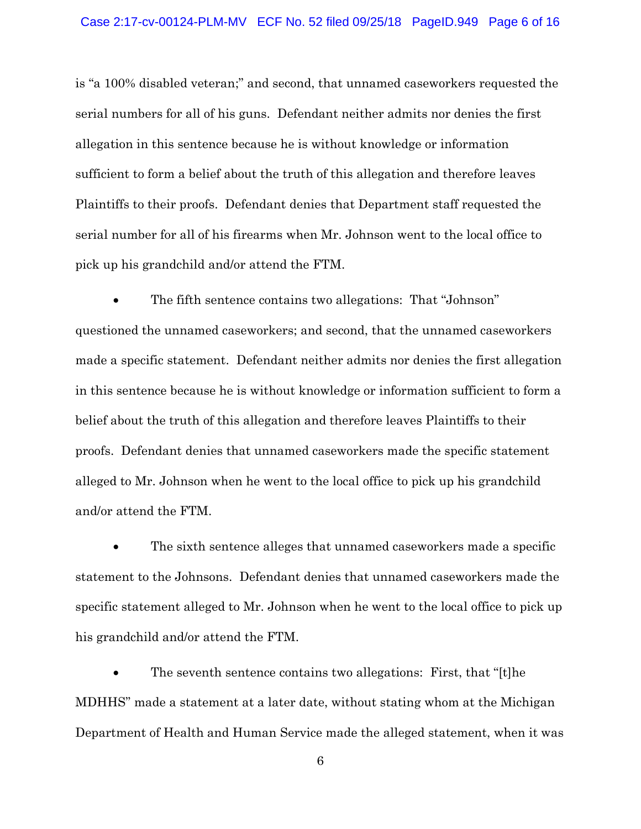is "a 100% disabled veteran;" and second, that unnamed caseworkers requested the serial numbers for all of his guns. Defendant neither admits nor denies the first allegation in this sentence because he is without knowledge or information sufficient to form a belief about the truth of this allegation and therefore leaves Plaintiffs to their proofs. Defendant denies that Department staff requested the serial number for all of his firearms when Mr. Johnson went to the local office to pick up his grandchild and/or attend the FTM.

• The fifth sentence contains two allegations: That "Johnson" questioned the unnamed caseworkers; and second, that the unnamed caseworkers made a specific statement. Defendant neither admits nor denies the first allegation in this sentence because he is without knowledge or information sufficient to form a belief about the truth of this allegation and therefore leaves Plaintiffs to their proofs. Defendant denies that unnamed caseworkers made the specific statement alleged to Mr. Johnson when he went to the local office to pick up his grandchild and/or attend the FTM.

The sixth sentence alleges that unnamed caseworkers made a specific statement to the Johnsons. Defendant denies that unnamed caseworkers made the specific statement alleged to Mr. Johnson when he went to the local office to pick up his grandchild and/or attend the FTM.

• The seventh sentence contains two allegations: First, that "[t]he MDHHS" made a statement at a later date, without stating whom at the Michigan Department of Health and Human Service made the alleged statement, when it was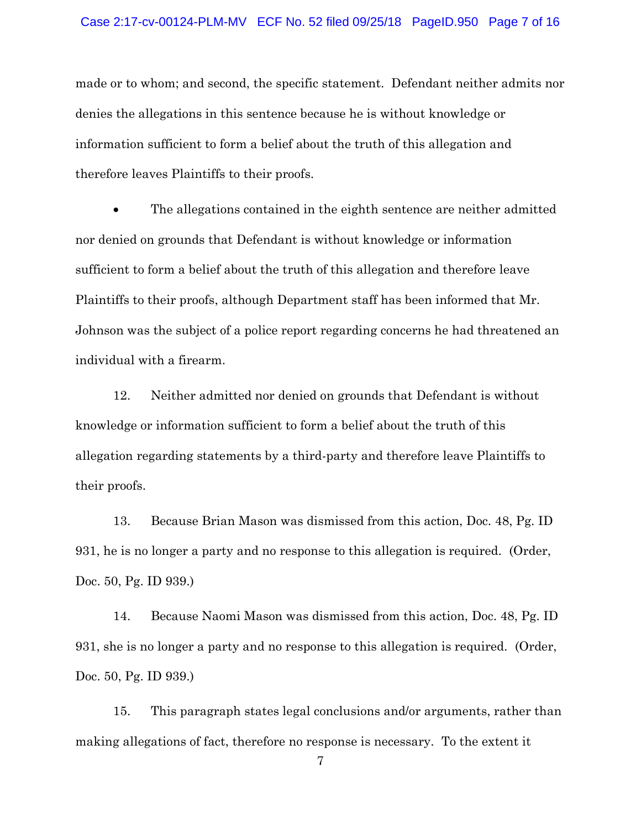#### Case 2:17-cv-00124-PLM-MV ECF No. 52 filed 09/25/18 PageID.950 Page 7 of 16

made or to whom; and second, the specific statement. Defendant neither admits nor denies the allegations in this sentence because he is without knowledge or information sufficient to form a belief about the truth of this allegation and therefore leaves Plaintiffs to their proofs.

• The allegations contained in the eighth sentence are neither admitted nor denied on grounds that Defendant is without knowledge or information sufficient to form a belief about the truth of this allegation and therefore leave Plaintiffs to their proofs, although Department staff has been informed that Mr. Johnson was the subject of a police report regarding concerns he had threatened an individual with a firearm.

12. Neither admitted nor denied on grounds that Defendant is without knowledge or information sufficient to form a belief about the truth of this allegation regarding statements by a third-party and therefore leave Plaintiffs to their proofs.

13. Because Brian Mason was dismissed from this action, Doc. 48, Pg. ID 931, he is no longer a party and no response to this allegation is required. (Order, Doc. 50, Pg. ID 939.)

14. Because Naomi Mason was dismissed from this action, Doc. 48, Pg. ID 931, she is no longer a party and no response to this allegation is required. (Order, Doc. 50, Pg. ID 939.)

15. This paragraph states legal conclusions and/or arguments, rather than making allegations of fact, therefore no response is necessary. To the extent it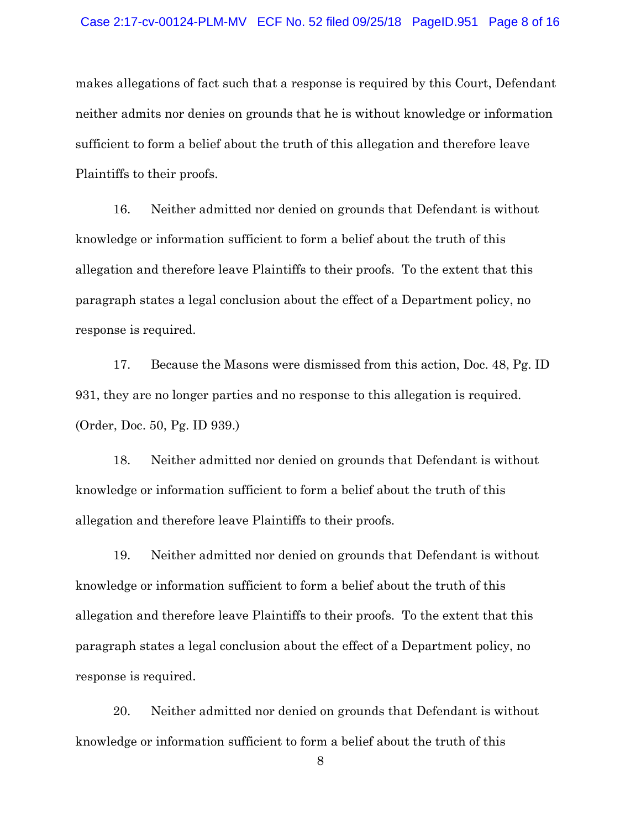#### Case 2:17-cv-00124-PLM-MV ECF No. 52 filed 09/25/18 PageID.951 Page 8 of 16

makes allegations of fact such that a response is required by this Court, Defendant neither admits nor denies on grounds that he is without knowledge or information sufficient to form a belief about the truth of this allegation and therefore leave Plaintiffs to their proofs.

16. Neither admitted nor denied on grounds that Defendant is without knowledge or information sufficient to form a belief about the truth of this allegation and therefore leave Plaintiffs to their proofs. To the extent that this paragraph states a legal conclusion about the effect of a Department policy, no response is required.

17. Because the Masons were dismissed from this action, Doc. 48, Pg. ID 931, they are no longer parties and no response to this allegation is required. (Order, Doc. 50, Pg. ID 939.)

18. Neither admitted nor denied on grounds that Defendant is without knowledge or information sufficient to form a belief about the truth of this allegation and therefore leave Plaintiffs to their proofs.

19. Neither admitted nor denied on grounds that Defendant is without knowledge or information sufficient to form a belief about the truth of this allegation and therefore leave Plaintiffs to their proofs. To the extent that this paragraph states a legal conclusion about the effect of a Department policy, no response is required.

20. Neither admitted nor denied on grounds that Defendant is without knowledge or information sufficient to form a belief about the truth of this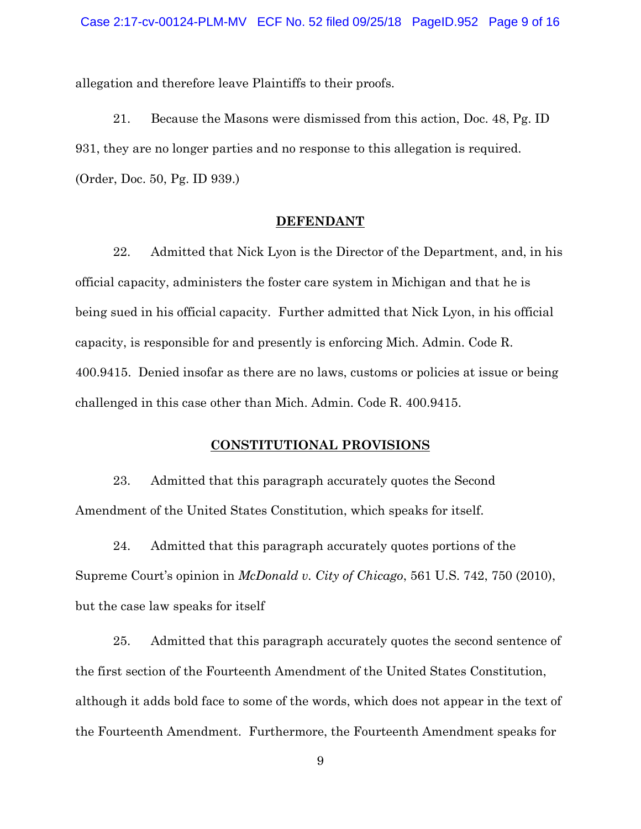allegation and therefore leave Plaintiffs to their proofs.

21. Because the Masons were dismissed from this action, Doc. 48, Pg. ID 931, they are no longer parties and no response to this allegation is required. (Order, Doc. 50, Pg. ID 939.)

#### **DEFENDANT**

22. Admitted that Nick Lyon is the Director of the Department, and, in his official capacity, administers the foster care system in Michigan and that he is being sued in his official capacity. Further admitted that Nick Lyon, in his official capacity, is responsible for and presently is enforcing Mich. Admin. Code R. 400.9415. Denied insofar as there are no laws, customs or policies at issue or being challenged in this case other than Mich. Admin. Code R. 400.9415.

### **CONSTITUTIONAL PROVISIONS**

23. Admitted that this paragraph accurately quotes the Second Amendment of the United States Constitution, which speaks for itself.

24. Admitted that this paragraph accurately quotes portions of the Supreme Court's opinion in *McDonald v. City of Chicago*, 561 U.S. 742, 750 (2010), but the case law speaks for itself

25. Admitted that this paragraph accurately quotes the second sentence of the first section of the Fourteenth Amendment of the United States Constitution, although it adds bold face to some of the words, which does not appear in the text of the Fourteenth Amendment. Furthermore, the Fourteenth Amendment speaks for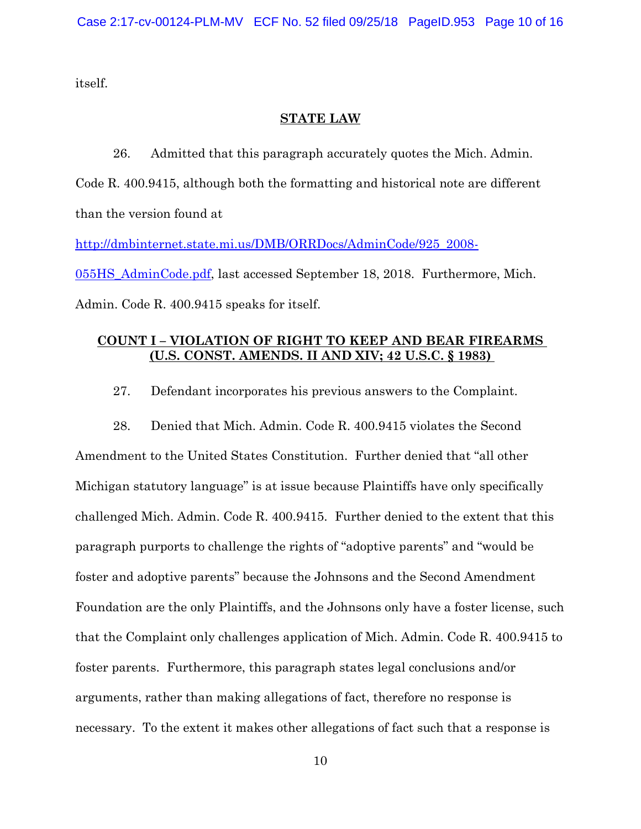itself.

### **STATE LAW**

26. Admitted that this paragraph accurately quotes the Mich. Admin. Code R. 400.9415, although both the formatting and historical note are different than the version found at http://dmbinternet.state.mi.us/DMB/ORRDocs/AdminCode/925\_2008-

055HS\_AdminCode.pdf, last accessed September 18, 2018. Furthermore, Mich. Admin. Code R. 400.9415 speaks for itself.

## **COUNT I – VIOLATION OF RIGHT TO KEEP AND BEAR FIREARMS (U.S. CONST. AMENDS. II AND XIV; 42 U.S.C. § 1983)**

27. Defendant incorporates his previous answers to the Complaint.

28. Denied that Mich. Admin. Code R. 400.9415 violates the Second Amendment to the United States Constitution. Further denied that "all other Michigan statutory language" is at issue because Plaintiffs have only specifically challenged Mich. Admin. Code R. 400.9415. Further denied to the extent that this paragraph purports to challenge the rights of "adoptive parents" and "would be foster and adoptive parents" because the Johnsons and the Second Amendment Foundation are the only Plaintiffs, and the Johnsons only have a foster license, such that the Complaint only challenges application of Mich. Admin. Code R. 400.9415 to foster parents. Furthermore, this paragraph states legal conclusions and/or arguments, rather than making allegations of fact, therefore no response is necessary. To the extent it makes other allegations of fact such that a response is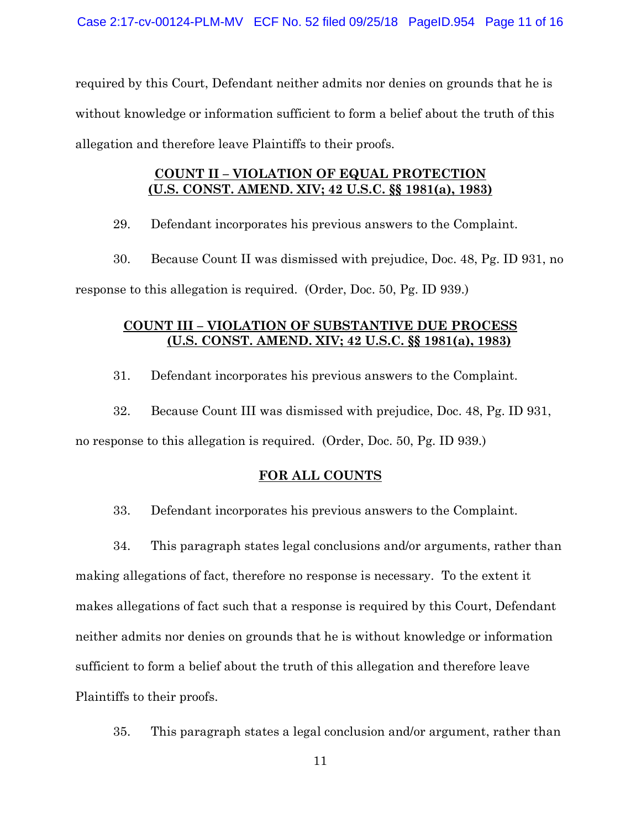required by this Court, Defendant neither admits nor denies on grounds that he is without knowledge or information sufficient to form a belief about the truth of this allegation and therefore leave Plaintiffs to their proofs.

## **COUNT II – VIOLATION OF EQUAL PROTECTION (U.S. CONST. AMEND. XIV; 42 U.S.C. §§ 1981(a), 1983)**

29. Defendant incorporates his previous answers to the Complaint.

30. Because Count II was dismissed with prejudice, Doc. 48, Pg. ID 931, no response to this allegation is required. (Order, Doc. 50, Pg. ID 939.)

## **COUNT III – VIOLATION OF SUBSTANTIVE DUE PROCESS (U.S. CONST. AMEND. XIV; 42 U.S.C. §§ 1981(a), 1983)**

31. Defendant incorporates his previous answers to the Complaint.

32. Because Count III was dismissed with prejudice, Doc. 48, Pg. ID 931,

no response to this allegation is required. (Order, Doc. 50, Pg. ID 939.)

### **FOR ALL COUNTS**

33. Defendant incorporates his previous answers to the Complaint.

34. This paragraph states legal conclusions and/or arguments, rather than making allegations of fact, therefore no response is necessary. To the extent it makes allegations of fact such that a response is required by this Court, Defendant neither admits nor denies on grounds that he is without knowledge or information sufficient to form a belief about the truth of this allegation and therefore leave Plaintiffs to their proofs.

35. This paragraph states a legal conclusion and/or argument, rather than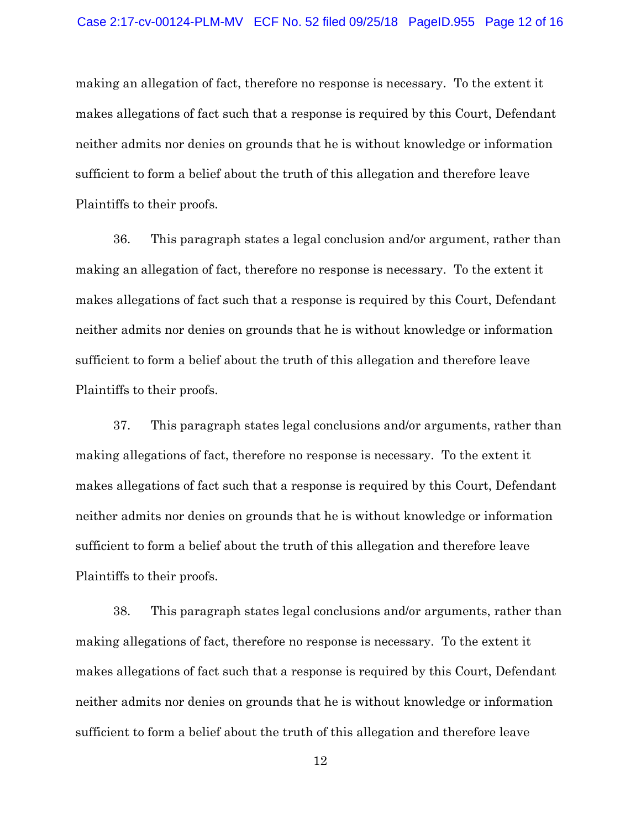making an allegation of fact, therefore no response is necessary. To the extent it makes allegations of fact such that a response is required by this Court, Defendant neither admits nor denies on grounds that he is without knowledge or information sufficient to form a belief about the truth of this allegation and therefore leave Plaintiffs to their proofs.

36. This paragraph states a legal conclusion and/or argument, rather than making an allegation of fact, therefore no response is necessary. To the extent it makes allegations of fact such that a response is required by this Court, Defendant neither admits nor denies on grounds that he is without knowledge or information sufficient to form a belief about the truth of this allegation and therefore leave Plaintiffs to their proofs.

37. This paragraph states legal conclusions and/or arguments, rather than making allegations of fact, therefore no response is necessary. To the extent it makes allegations of fact such that a response is required by this Court, Defendant neither admits nor denies on grounds that he is without knowledge or information sufficient to form a belief about the truth of this allegation and therefore leave Plaintiffs to their proofs.

38. This paragraph states legal conclusions and/or arguments, rather than making allegations of fact, therefore no response is necessary. To the extent it makes allegations of fact such that a response is required by this Court, Defendant neither admits nor denies on grounds that he is without knowledge or information sufficient to form a belief about the truth of this allegation and therefore leave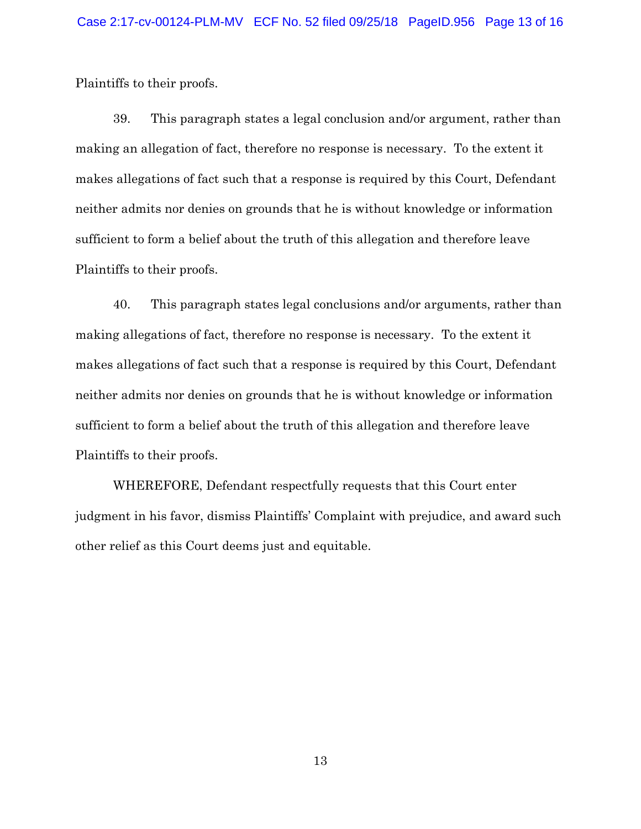Plaintiffs to their proofs.

39. This paragraph states a legal conclusion and/or argument, rather than making an allegation of fact, therefore no response is necessary. To the extent it makes allegations of fact such that a response is required by this Court, Defendant neither admits nor denies on grounds that he is without knowledge or information sufficient to form a belief about the truth of this allegation and therefore leave Plaintiffs to their proofs.

40. This paragraph states legal conclusions and/or arguments, rather than making allegations of fact, therefore no response is necessary. To the extent it makes allegations of fact such that a response is required by this Court, Defendant neither admits nor denies on grounds that he is without knowledge or information sufficient to form a belief about the truth of this allegation and therefore leave Plaintiffs to their proofs.

WHEREFORE, Defendant respectfully requests that this Court enter judgment in his favor, dismiss Plaintiffs' Complaint with prejudice, and award such other relief as this Court deems just and equitable.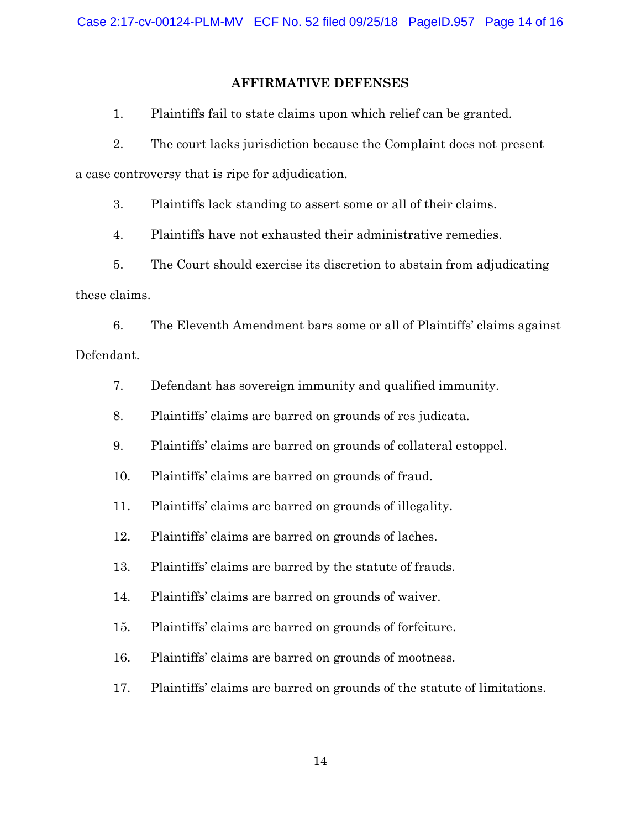### **AFFIRMATIVE DEFENSES**

1. Plaintiffs fail to state claims upon which relief can be granted.

2. The court lacks jurisdiction because the Complaint does not present a case controversy that is ripe for adjudication.

3. Plaintiffs lack standing to assert some or all of their claims.

4. Plaintiffs have not exhausted their administrative remedies.

5. The Court should exercise its discretion to abstain from adjudicating these claims.

6. The Eleventh Amendment bars some or all of Plaintiffs' claims against Defendant.

- 7. Defendant has sovereign immunity and qualified immunity.
- 8. Plaintiffs' claims are barred on grounds of res judicata.
- 9. Plaintiffs' claims are barred on grounds of collateral estoppel.
- 10. Plaintiffs' claims are barred on grounds of fraud.
- 11. Plaintiffs' claims are barred on grounds of illegality.
- 12. Plaintiffs' claims are barred on grounds of laches.
- 13. Plaintiffs' claims are barred by the statute of frauds.
- 14. Plaintiffs' claims are barred on grounds of waiver.
- 15. Plaintiffs' claims are barred on grounds of forfeiture.
- 16. Plaintiffs' claims are barred on grounds of mootness.
- 17. Plaintiffs' claims are barred on grounds of the statute of limitations.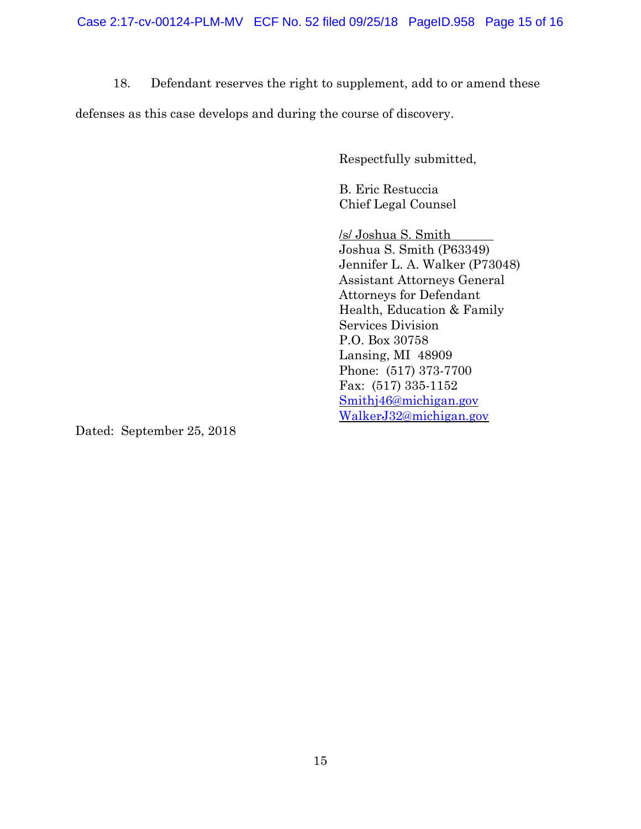18. Defendant reserves the right to supplement, add to or amend these

defenses as this case develops and during the course of discovery.

Respectfully submitted,

B. Eric Restuccia Chief Legal Counsel

/s/ Joshua S. Smith Joshua S. Smith (P63349) Jennifer L. A. Walker (P73048) Assistant Attorneys General Attorneys for Defendant Health, Education & Family Services Division P.O. Box 30758 Lansing, MI 48909 Phone: (517) 373-7700 Fax: (517) 335-1152 Smithj46@michigan.gov WalkerJ32@michigan.gov

Dated: September 25, 2018